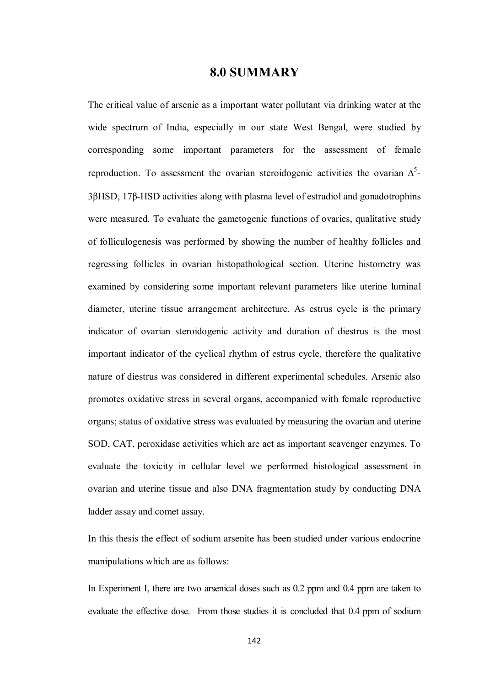## **8.0 SUMMARY**

The critical value of arsenic as a important water pollutant via drinking water at the wide spectrum of India, especially in our state West Bengal, were studied by corresponding some important parameters for the assessment of female reproduction. To assessment the ovarian steroidogenic activities the ovarian  $\Delta^5$ -3βHSD, 17β-HSD activities along with plasma level of estradiol and gonadotrophins were measured. To evaluate the gametogenic functions of ovaries, qualitative study of folliculogenesis was performed by showing the number of healthy follicles and regressing follicles in ovarian histopathological section. Uterine histometry was examined by considering some important relevant parameters like uterine luminal diameter, uterine tissue arrangement architecture. As estrus cycle is the primary indicator of ovarian steroidogenic activity and duration of diestrus is the most important indicator of the cyclical rhythm of estrus cycle, therefore the qualitative nature of diestrus was considered in different experimental schedules. Arsenic also promotes oxidative stress in several organs, accompanied with female reproductive organs; status of oxidative stress was evaluated by measuring the ovarian and uterine SOD, CAT, peroxidase activities which are act as important scavenger enzymes. To evaluate the toxicity in cellular level we performed histological assessment in ovarian and uterine tissue and also DNA fragmentation study by conducting DNA ladder assay and comet assay.

In this thesis the effect of sodium arsenite has been studied under various endocrine manipulations which are as follows:

In Experiment I, there are two arsenical doses such as 0.2 ppm and 0.4 ppm are taken to evaluate the effective dose. From those studies it is concluded that 0.4 ppm of sodium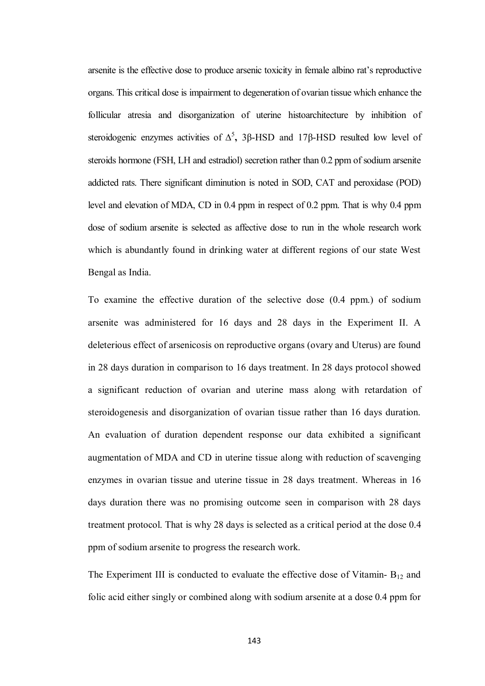arsenite is the effective dose to produce arsenic toxicity in female albino rat's reproductive organs. This critical dose is impairment to degeneration of ovarian tissue which enhance the follicular atresia and disorganization of uterine histoarchitecture by inhibition of steroidogenic enzymes activities of  $\Delta^5$ , 3β-HSD and 17β-HSD resulted low level of steroids hormone (FSH, LH and estradiol) secretion rather than 0.2 ppm of sodium arsenite addicted rats. There significant diminution is noted in SOD, CAT and peroxidase (POD) level and elevation of MDA, CD in 0.4 ppm in respect of 0.2 ppm. That is why 0.4 ppm dose of sodium arsenite is selected as affective dose to run in the whole research work which is abundantly found in drinking water at different regions of our state West Bengal as India.

To examine the effective duration of the selective dose (0.4 ppm.) of sodium arsenite was administered for 16 days and 28 days in the Experiment II. A deleterious effect of arsenicosis on reproductive organs (ovary and Uterus) are found in 28 days duration in comparison to 16 days treatment. In 28 days protocol showed a significant reduction of ovarian and uterine mass along with retardation of steroidogenesis and disorganization of ovarian tissue rather than 16 days duration. An evaluation of duration dependent response our data exhibited a significant augmentation of MDA and CD in uterine tissue along with reduction of scavenging enzymes in ovarian tissue and uterine tissue in 28 days treatment. Whereas in 16 days duration there was no promising outcome seen in comparison with 28 days treatment protocol. That is why 28 days is selected as a critical period at the dose 0.4 ppm of sodium arsenite to progress the research work.

The Experiment III is conducted to evaluate the effective dose of Vitamin-  $B_{12}$  and folic acid either singly or combined along with sodium arsenite at a dose 0.4 ppm for

143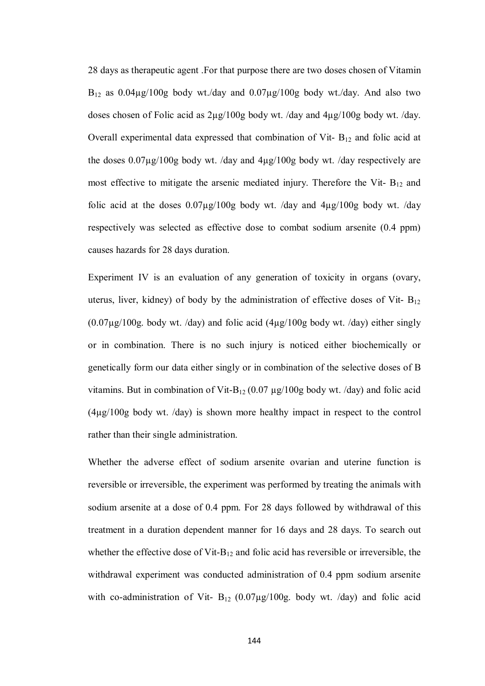28 days as therapeutic agent .For that purpose there are two doses chosen of Vitamin  $B_{12}$  as 0.04 $\mu$ g/100g body wt./day and 0.07 $\mu$ g/100g body wt./day. And also two doses chosen of Folic acid as 2µg/100g body wt. /day and 4µg/100g body wt. /day. Overall experimental data expressed that combination of Vit-  $B_{12}$  and folic acid at the doses 0.07µg/100g body wt. /day and 4µg/100g body wt. /day respectively are most effective to mitigate the arsenic mediated injury. Therefore the Vit-  $B_{12}$  and folic acid at the doses  $0.07\mu g/100g$  body wt. /day and  $4\mu g/100g$  body wt. /day respectively was selected as effective dose to combat sodium arsenite (0.4 ppm) causes hazards for 28 days duration.

Experiment IV is an evaluation of any generation of toxicity in organs (ovary, uterus, liver, kidney) of body by the administration of effective doses of Vit-  $B_{12}$  $(0.07\mu g/100g$ . body wt. /day) and folic acid  $(4\mu g/100g$  body wt. /day) either singly or in combination. There is no such injury is noticed either biochemically or genetically form our data either singly or in combination of the selective doses of B vitamins. But in combination of Vit-B<sub>12</sub> (0.07  $\mu$ g/100g body wt. /day) and folic acid (4µg/100g body wt. /day) is shown more healthy impact in respect to the control rather than their single administration.

Whether the adverse effect of sodium arsenite ovarian and uterine function is reversible or irreversible, the experiment was performed by treating the animals with sodium arsenite at a dose of 0.4 ppm. For 28 days followed by withdrawal of this treatment in a duration dependent manner for 16 days and 28 days. To search out whether the effective dose of Vit- $B_{12}$  and folic acid has reversible or irreversible, the withdrawal experiment was conducted administration of 0.4 ppm sodium arsenite with co-administration of Vit-  $B_{12}$  (0.07µg/100g. body wt. /day) and folic acid